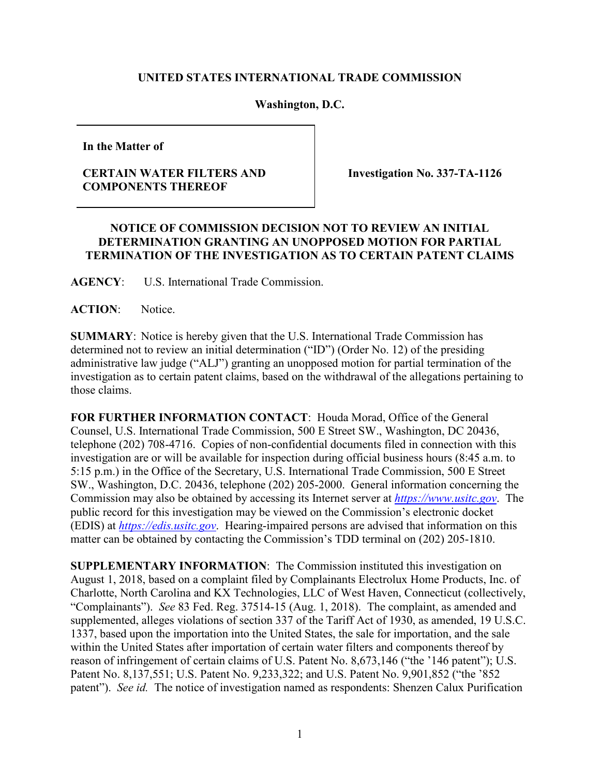## **UNITED STATES INTERNATIONAL TRADE COMMISSION**

## **Washington, D.C.**

**In the Matter of**

## **CERTAIN WATER FILTERS AND COMPONENTS THEREOF**

**Investigation No. 337-TA-1126**

## **NOTICE OF COMMISSION DECISION NOT TO REVIEW AN INITIAL DETERMINATION GRANTING AN UNOPPOSED MOTION FOR PARTIAL TERMINATION OF THE INVESTIGATION AS TO CERTAIN PATENT CLAIMS**

**AGENCY**: U.S. International Trade Commission.

**ACTION**: Notice.

**SUMMARY**: Notice is hereby given that the U.S. International Trade Commission has determined not to review an initial determination ("ID") (Order No. 12) of the presiding administrative law judge ("ALJ") granting an unopposed motion for partial termination of the investigation as to certain patent claims, based on the withdrawal of the allegations pertaining to those claims.

**FOR FURTHER INFORMATION CONTACT**: Houda Morad, Office of the General Counsel, U.S. International Trade Commission, 500 E Street SW., Washington, DC 20436, telephone (202) 708-4716. Copies of non-confidential documents filed in connection with this investigation are or will be available for inspection during official business hours (8:45 a.m. to 5:15 p.m.) in the Office of the Secretary, U.S. International Trade Commission, 500 E Street SW., Washington, D.C. 20436, telephone (202) 205-2000. General information concerning the Commission may also be obtained by accessing its Internet server at *[https://www.usitc.gov](https://www.usitc.gov/)*. The public record for this investigation may be viewed on the Commission's electronic docket (EDIS) at *[https://edis.usitc.gov](http://edis.usitc.gov/)*. Hearing-impaired persons are advised that information on this matter can be obtained by contacting the Commission's TDD terminal on (202) 205-1810.

**SUPPLEMENTARY INFORMATION**: The Commission instituted this investigation on August 1, 2018, based on a complaint filed by Complainants Electrolux Home Products, Inc. of Charlotte, North Carolina and KX Technologies, LLC of West Haven, Connecticut (collectively, "Complainants"). *See* 83 Fed. Reg. 37514-15 (Aug. 1, 2018). The complaint, as amended and supplemented, alleges violations of section 337 of the Tariff Act of 1930, as amended, 19 U.S.C. 1337, based upon the importation into the United States, the sale for importation, and the sale within the United States after importation of certain water filters and components thereof by reason of infringement of certain claims of U.S. Patent No. 8,673,146 ("the '146 patent"); U.S. Patent No. 8,137,551; U.S. Patent No. 9,233,322; and U.S. Patent No. 9,901,852 ("the '852 patent"). *See id.* The notice of investigation named as respondents: Shenzen Calux Purification